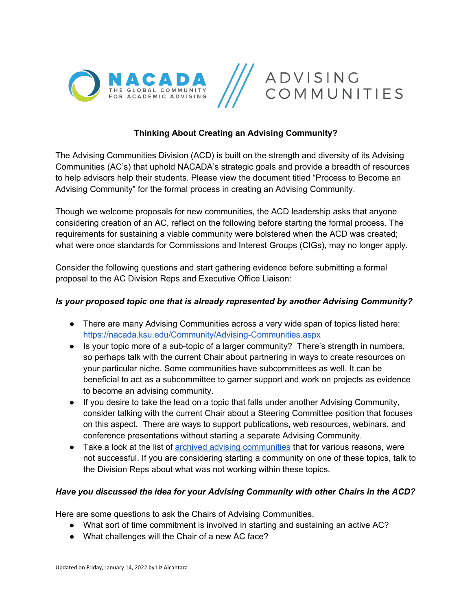

### **Thinking About Creating an Advising Community?**

The Advising Communities Division (ACD) is built on the strength and diversity of its Advising Communities (AC's) that uphold NACADA's strategic goals and provide a breadth of resources to help advisors help their students. Please view the document titled "Process to Become an Advising Community" for the formal process in creating an Advising Community.

Though we welcome proposals for new communities, the ACD leadership asks that anyone considering creation of an AC, reflect on the following before starting the formal process. The requirements for sustaining a viable community were bolstered when the ACD was created; what were once standards for Commissions and Interest Groups (CIGs), may no longer apply.

Consider the following questions and start gathering evidence before submitting a formal proposal to the AC Division Reps and Executive Office Liaison:

#### *Is your proposed topic one that is already represented by another Advising Community?*

- There are many Advising Communities across a very wide span of topics listed here: <https://nacada.ksu.edu/Community/Advising-Communities.aspx>
- Is your topic more of a sub-topic of a larger community? There's strength in numbers, so perhaps talk with the current Chair about partnering in ways to create resources on your particular niche. Some communities have subcommittees as well. It can be beneficial to act as a subcommittee to garner support and work on projects as evidence to become an advising community.
- If you desire to take the lead on a topic that falls under another Advising Community, consider talking with the current Chair about a Steering Committee position that focuses on this aspect. There are ways to support publications, web resources, webinars, and conference presentations without starting a separate Advising Community.
- Take a look at the list of [archived advising communities](https://nacada.ksu.edu/Community/Advising-Communities/Archived-Advising-Communities.aspx) that for various reasons, were not successful. If you are considering starting a community on one of these topics, talk to the Division Reps about what was not working within these topics.

#### *Have you discussed the idea for your Advising Community with other Chairs in the ACD?*

Here are some questions to ask the Chairs of Advising Communities.

- What sort of time commitment is involved in starting and sustaining an active AC?
- What challenges will the Chair of a new AC face?